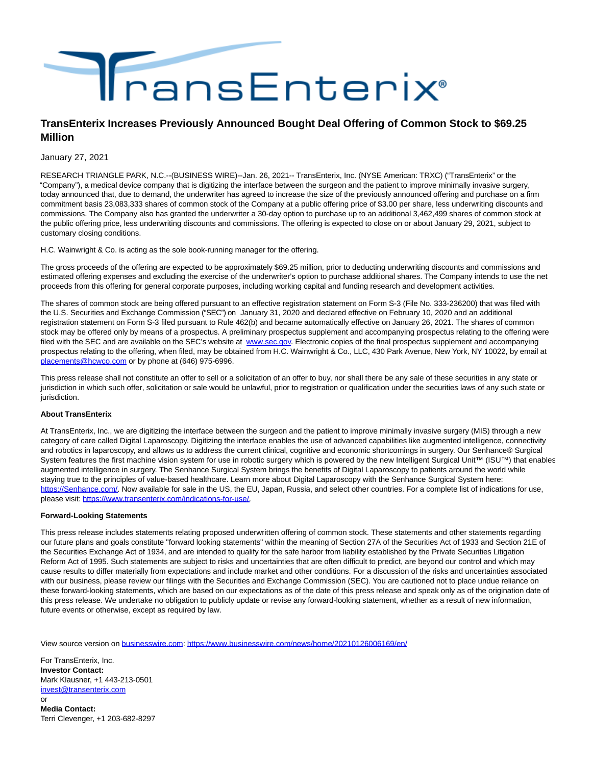

## **TransEnterix Increases Previously Announced Bought Deal Offering of Common Stock to \$69.25 Million**

January 27, 2021

RESEARCH TRIANGLE PARK, N.C.--(BUSINESS WIRE)--Jan. 26, 2021-- TransEnterix, Inc. (NYSE American: TRXC) ("TransEnterix" or the "Company"), a medical device company that is digitizing the interface between the surgeon and the patient to improve minimally invasive surgery, today announced that, due to demand, the underwriter has agreed to increase the size of the previously announced offering and purchase on a firm commitment basis 23,083,333 shares of common stock of the Company at a public offering price of \$3.00 per share, less underwriting discounts and commissions. The Company also has granted the underwriter a 30-day option to purchase up to an additional 3,462,499 shares of common stock at the public offering price, less underwriting discounts and commissions. The offering is expected to close on or about January 29, 2021, subject to customary closing conditions.

H.C. Wainwright & Co. is acting as the sole book-running manager for the offering.

The gross proceeds of the offering are expected to be approximately \$69.25 million, prior to deducting underwriting discounts and commissions and estimated offering expenses and excluding the exercise of the underwriter's option to purchase additional shares. The Company intends to use the net proceeds from this offering for general corporate purposes, including working capital and funding research and development activities.

The shares of common stock are being offered pursuant to an effective registration statement on Form S-3 (File No. 333-236200) that was filed with the U.S. Securities and Exchange Commission ("SEC") on January 31, 2020 and declared effective on February 10, 2020 and an additional registration statement on Form S-3 filed pursuant to Rule 462(b) and became automatically effective on January 26, 2021. The shares of common stock may be offered only by means of a prospectus. A preliminary prospectus supplement and accompanying prospectus relating to the offering were filed with the SEC and are available on the SEC's website at [www.sec.gov.](https://cts.businesswire.com/ct/CT?id=smartlink&url=http%3A%2F%2Fwww.sec.gov%2F&esheet=52368456&newsitemid=20210126006169&lan=en-US&anchor=www.sec.gov&index=1&md5=0bed86480dfeca55aacbe81c5851536c) Electronic copies of the final prospectus supplement and accompanying prospectus relating to the offering, when filed, may be obtained from H.C. Wainwright & Co., LLC, 430 Park Avenue, New York, NY 10022, by email at [placements@hcwco.com o](mailto:placements@hcwco.com)r by phone at (646) 975-6996.

This press release shall not constitute an offer to sell or a solicitation of an offer to buy, nor shall there be any sale of these securities in any state or jurisdiction in which such offer, solicitation or sale would be unlawful, prior to registration or qualification under the securities laws of any such state or jurisdiction.

## **About TransEnterix**

At TransEnterix, Inc., we are digitizing the interface between the surgeon and the patient to improve minimally invasive surgery (MIS) through a new category of care called Digital Laparoscopy. Digitizing the interface enables the use of advanced capabilities like augmented intelligence, connectivity and robotics in laparoscopy, and allows us to address the current clinical, cognitive and economic shortcomings in surgery. Our Senhance® Surgical System features the first machine vision system for use in robotic surgery which is powered by the new Intelligent Surgical Unit™ (ISU™) that enables augmented intelligence in surgery. The Senhance Surgical System brings the benefits of Digital Laparoscopy to patients around the world while staying true to the principles of value-based healthcare. Learn more about Digital Laparoscopy with the Senhance Surgical System here: [https://Senhance.com/.](https://cts.businesswire.com/ct/CT?id=smartlink&url=https%3A%2F%2FSenhance.com%2F&esheet=52368456&newsitemid=20210126006169&lan=en-US&anchor=https%3A%2F%2FSenhance.com%2F&index=2&md5=0ca4353c5f2b66f9449bda17d0e9a111) Now available for sale in the US, the EU, Japan, Russia, and select other countries. For a complete list of indications for use, please visit: [https://www.transenterix.com/indications-for-use/.](https://cts.businesswire.com/ct/CT?id=smartlink&url=https%3A%2F%2Fwww.transenterix.com%2Findications-for-use%2F&esheet=52368456&newsitemid=20210126006169&lan=en-US&anchor=https%3A%2F%2Fwww.transenterix.com%2Findications-for-use%2F&index=3&md5=e54996153dc616a9d9f2aaf38089857c)

## **Forward-Looking Statements**

This press release includes statements relating proposed underwritten offering of common stock. These statements and other statements regarding our future plans and goals constitute "forward looking statements" within the meaning of Section 27A of the Securities Act of 1933 and Section 21E of the Securities Exchange Act of 1934, and are intended to qualify for the safe harbor from liability established by the Private Securities Litigation Reform Act of 1995. Such statements are subject to risks and uncertainties that are often difficult to predict, are beyond our control and which may cause results to differ materially from expectations and include market and other conditions. For a discussion of the risks and uncertainties associated with our business, please review our filings with the Securities and Exchange Commission (SEC). You are cautioned not to place undue reliance on these forward-looking statements, which are based on our expectations as of the date of this press release and speak only as of the origination date of this press release. We undertake no obligation to publicly update or revise any forward-looking statement, whether as a result of new information, future events or otherwise, except as required by law.

View source version on [businesswire.com:](http://businesswire.com/)<https://www.businesswire.com/news/home/20210126006169/en/>

For TransEnterix, Inc. **Investor Contact:** Mark Klausner, +1 443-213-0501 [invest@transenterix.com](mailto:invest@transenterix.com) or

**Media Contact:** Terri Clevenger, +1 203-682-8297